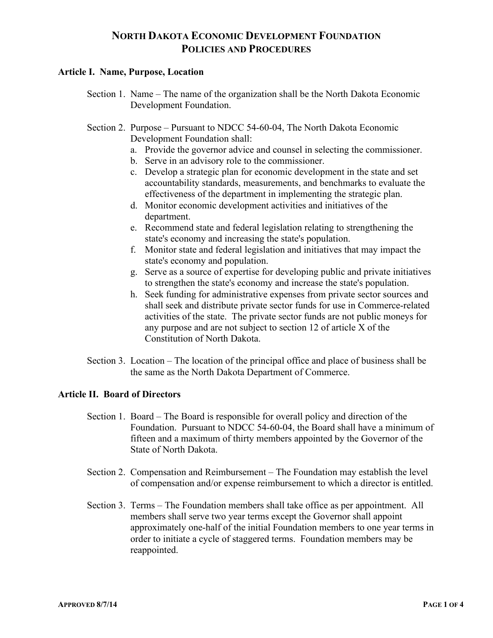# **NORTH DAKOTA ECONOMIC DEVELOPMENT FOUNDATION POLICIES AND PROCEDURES**

#### **Article I. Name, Purpose, Location**

- Section 1. Name The name of the organization shall be the North Dakota Economic Development Foundation.
- Section 2. Purpose Pursuant to NDCC 54-60-04, The North Dakota Economic Development Foundation shall:
	- a. Provide the governor advice and counsel in selecting the commissioner.
	- b. Serve in an advisory role to the commissioner.
	- c. Develop a strategic plan for economic development in the state and set accountability standards, measurements, and benchmarks to evaluate the effectiveness of the department in implementing the strategic plan.
	- d. Monitor economic development activities and initiatives of the department.
	- e. Recommend state and federal legislation relating to strengthening the state's economy and increasing the state's population.
	- f. Monitor state and federal legislation and initiatives that may impact the state's economy and population.
	- g. Serve as a source of expertise for developing public and private initiatives to strengthen the state's economy and increase the state's population.
	- h. Seek funding for administrative expenses from private sector sources and shall seek and distribute private sector funds for use in Commerce-related activities of the state. The private sector funds are not public moneys for any purpose and are not subject to section 12 of article X of the Constitution of North Dakota.
- Section 3. Location The location of the principal office and place of business shall be the same as the North Dakota Department of Commerce.

## **Article II. Board of Directors**

- Section 1. Board The Board is responsible for overall policy and direction of the Foundation. Pursuant to NDCC 54-60-04, the Board shall have a minimum of fifteen and a maximum of thirty members appointed by the Governor of the State of North Dakota.
- Section 2. Compensation and Reimbursement The Foundation may establish the level of compensation and/or expense reimbursement to which a director is entitled.
- Section 3. Terms The Foundation members shall take office as per appointment. All members shall serve two year terms except the Governor shall appoint approximately one-half of the initial Foundation members to one year terms in order to initiate a cycle of staggered terms. Foundation members may be reappointed.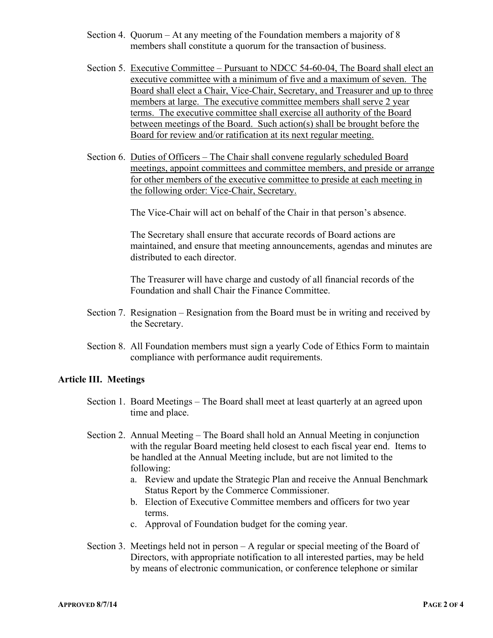- Section 4. Quorum At any meeting of the Foundation members a majority of 8 members shall constitute a quorum for the transaction of business.
- Section 5. Executive Committee Pursuant to NDCC 54-60-04, The Board shall elect an executive committee with a minimum of five and a maximum of seven. The Board shall elect a Chair, Vice-Chair, Secretary, and Treasurer and up to three members at large. The executive committee members shall serve 2 year terms. The executive committee shall exercise all authority of the Board between meetings of the Board. Such action(s) shall be brought before the Board for review and/or ratification at its next regular meeting.
- Section 6. Duties of Officers The Chair shall convene regularly scheduled Board meetings, appoint committees and committee members, and preside or arrange for other members of the executive committee to preside at each meeting in the following order: Vice-Chair, Secretary.

The Vice-Chair will act on behalf of the Chair in that person's absence.

The Secretary shall ensure that accurate records of Board actions are maintained, and ensure that meeting announcements, agendas and minutes are distributed to each director.

The Treasurer will have charge and custody of all financial records of the Foundation and shall Chair the Finance Committee.

- Section 7. Resignation Resignation from the Board must be in writing and received by the Secretary.
- Section 8. All Foundation members must sign a yearly Code of Ethics Form to maintain compliance with performance audit requirements.

#### **Article III. Meetings**

- Section 1. Board Meetings The Board shall meet at least quarterly at an agreed upon time and place.
- Section 2. Annual Meeting The Board shall hold an Annual Meeting in conjunction with the regular Board meeting held closest to each fiscal year end. Items to be handled at the Annual Meeting include, but are not limited to the following:
	- a. Review and update the Strategic Plan and receive the Annual Benchmark Status Report by the Commerce Commissioner.
	- b. Election of Executive Committee members and officers for two year terms.
	- c. Approval of Foundation budget for the coming year.
- Section 3. Meetings held not in person A regular or special meeting of the Board of Directors, with appropriate notification to all interested parties, may be held by means of electronic communication, or conference telephone or similar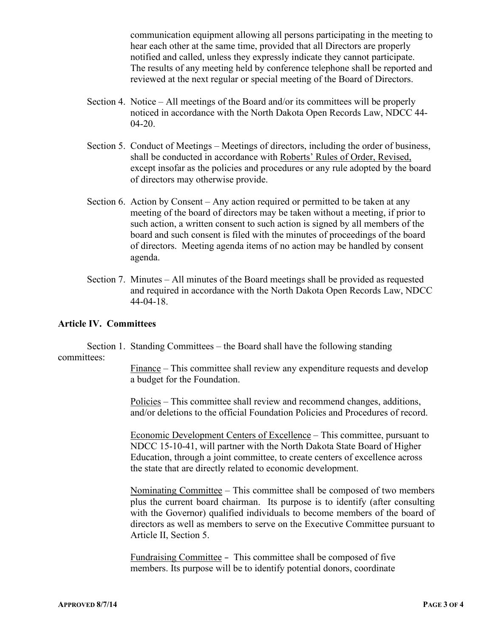communication equipment allowing all persons participating in the meeting to hear each other at the same time, provided that all Directors are properly notified and called, unless they expressly indicate they cannot participate. The results of any meeting held by conference telephone shall be reported and reviewed at the next regular or special meeting of the Board of Directors.

- Section 4. Notice All meetings of the Board and/or its committees will be properly noticed in accordance with the North Dakota Open Records Law, NDCC 44- 04-20.
- Section 5. Conduct of Meetings Meetings of directors, including the order of business, shall be conducted in accordance with Roberts' Rules of Order, Revised, except insofar as the policies and procedures or any rule adopted by the board of directors may otherwise provide.
- Section 6. Action by Consent Any action required or permitted to be taken at any meeting of the board of directors may be taken without a meeting, if prior to such action, a written consent to such action is signed by all members of the board and such consent is filed with the minutes of proceedings of the board of directors. Meeting agenda items of no action may be handled by consent agenda.
- Section 7. Minutes All minutes of the Board meetings shall be provided as requested and required in accordance with the North Dakota Open Records Law, NDCC 44-04-18.

### **Article IV. Committees**

Section 1. Standing Committees – the Board shall have the following standing committees:

> Finance – This committee shall review any expenditure requests and develop a budget for the Foundation.

> Policies – This committee shall review and recommend changes, additions, and/or deletions to the official Foundation Policies and Procedures of record.

> Economic Development Centers of Excellence – This committee, pursuant to NDCC 15-10-41, will partner with the North Dakota State Board of Higher Education, through a joint committee, to create centers of excellence across the state that are directly related to economic development.

Nominating Committee – This committee shall be composed of two members plus the current board chairman. Its purpose is to identify (after consulting with the Governor) qualified individuals to become members of the board of directors as well as members to serve on the Executive Committee pursuant to Article II, Section 5.

Fundraising Committee – This committee shall be composed of five members. Its purpose will be to identify potential donors, coordinate